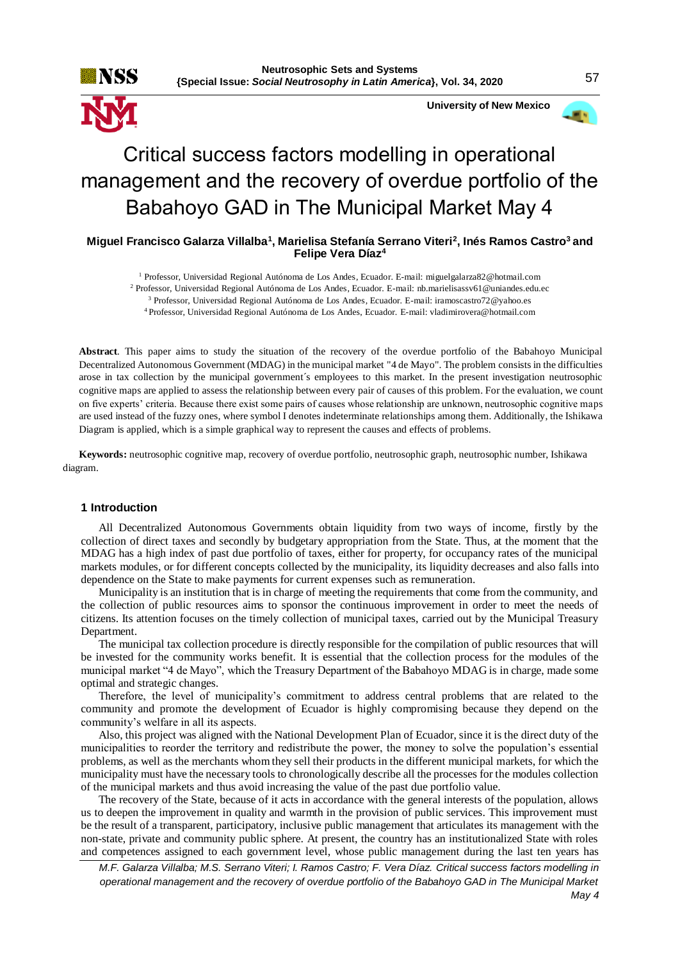

 **University of New Mexico**

# Critical success factors modelling in operational management and the recovery of overdue portfolio of the Babahoyo GAD in The Municipal Market May 4

# **Miguel Francisco Galarza Villalba<sup>1</sup> , Marielisa Stefanía Serrano Viteri<sup>2</sup> , Inés Ramos Castro<sup>3</sup>and Felipe Vera Díaz<sup>4</sup>**

 Professor, Universidad Regional Autónoma de Los Andes, Ecuador. E-mail: miguelgalarza82@hotmail.com Professor, Universidad Regional Autónoma de Los Andes, Ecuador. E-mail: nb.marielisassv61@uniandes.edu.ec Professor, Universidad Regional Autónoma de Los Andes, Ecuador. E-mail: [iramoscastro72@yahoo.es](mailto:iramoscastro72@yahoo.es) Professor, Universidad Regional Autónoma de Los Andes, Ecuador. E-mail: vladimirovera@hotmail.com

**Abstract**. This paper aims to study the situation of the recovery of the overdue portfolio of the Babahoyo Municipal Decentralized Autonomous Government (MDAG) in the municipal market "4 de Mayo". The problem consists in the difficulties arose in tax collection by the municipal government´s employees to this market. In the present investigation neutrosophic cognitive maps are applied to assess the relationship between every pair of causes of this problem. For the evaluation, we count on five experts' criteria. Because there exist some pairs of causes whose relationship are unknown, neutrosophic cognitive maps are used instead of the fuzzy ones, where symbol I denotes indeterminate relationships among them. Additionally, the Ishikawa Diagram is applied, which is a simple graphical way to represent the causes and effects of problems.

**Keywords:** neutrosophic cognitive map, recovery of overdue portfolio, neutrosophic graph, neutrosophic number, Ishikawa diagram.

### **1 Introduction**

All Decentralized Autonomous Governments obtain liquidity from two ways of income, firstly by the collection of direct taxes and secondly by budgetary appropriation from the State. Thus, at the moment that the MDAG has a high index of past due portfolio of taxes, either for property, for occupancy rates of the municipal markets modules, or for different concepts collected by the municipality, its liquidity decreases and also falls into dependence on the State to make payments for current expenses such as remuneration.

Municipality is an institution that is in charge of meeting the requirements that come from the community, and the collection of public resources aims to sponsor the continuous improvement in order to meet the needs of citizens. Its attention focuses on the timely collection of municipal taxes, carried out by the Municipal Treasury Department.

The municipal tax collection procedure is directly responsible for the compilation of public resources that will be invested for the community works benefit. It is essential that the collection process for the modules of the municipal market "4 de Mayo", which the Treasury Department of the Babahoyo MDAG is in charge, made some optimal and strategic changes.

Therefore, the level of municipality's commitment to address central problems that are related to the community and promote the development of Ecuador is highly compromising because they depend on the community's welfare in all its aspects.

Also, this project was aligned with the National Development Plan of Ecuador, since it is the direct duty of the municipalities to reorder the territory and redistribute the power, the money to solve the population's essential problems, as well as the merchants whom they sell their products in the different municipal markets, for which the municipality must have the necessary tools to chronologically describe all the processes for the modules collection of the municipal markets and thus avoid increasing the value of the past due portfolio value.

The recovery of the State, because of it acts in accordance with the general interests of the population, allows us to deepen the improvement in quality and warmth in the provision of public services. This improvement must be the result of a transparent, participatory, inclusive public management that articulates its management with the non-state, private and community public sphere. At present, the country has an institutionalized State with roles and competences assigned to each government level, whose public management during the last ten years has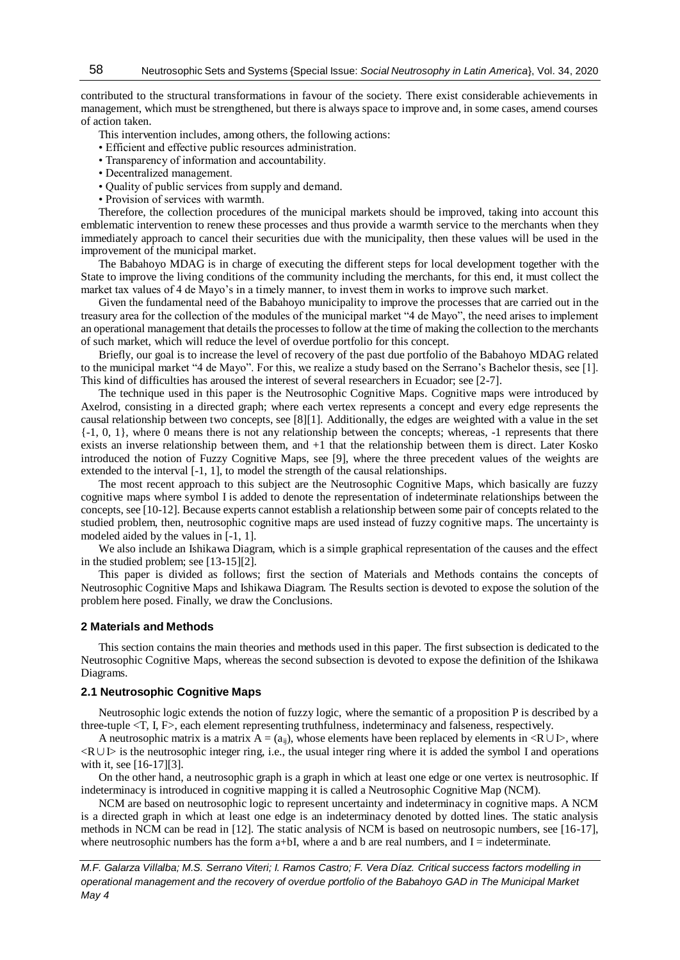contributed to the structural transformations in favour of the society. There exist considerable achievements in management, which must be strengthened, but there is always space to improve and, in some cases, amend courses of action taken.

- This intervention includes, among others, the following actions:
- Efficient and effective public resources administration.
- Transparency of information and accountability.
- Decentralized management.
- Quality of public services from supply and demand.
- Provision of services with warmth.

Therefore, the collection procedures of the municipal markets should be improved, taking into account this emblematic intervention to renew these processes and thus provide a warmth service to the merchants when they immediately approach to cancel their securities due with the municipality, then these values will be used in the improvement of the municipal market.

The Babahoyo MDAG is in charge of executing the different steps for local development together with the State to improve the living conditions of the community including the merchants, for this end, it must collect the market tax values of 4 de Mayo's in a timely manner, to invest them in works to improve such market.

Given the fundamental need of the Babahoyo municipality to improve the processes that are carried out in the treasury area for the collection of the modules of the municipal market "4 de Mayo", the need arises to implement an operational management that details the processes to follow at the time of making the collection to the merchants of such market, which will reduce the level of overdue portfolio for this concept.

Briefly, our goal is to increase the level of recovery of the past due portfolio of the Babahoyo MDAG related to the municipal market "4 de Mayo". For this, we realize a study based on the Serrano's Bachelor thesis, see [1]. This kind of difficulties has aroused the interest of several researchers in Ecuador; see [2-7].

The technique used in this paper is the Neutrosophic Cognitive Maps. Cognitive maps were introduced by Axelrod, consisting in a directed graph; where each vertex represents a concept and every edge represents the causal relationship between two concepts, see [8][1]. Additionally, the edges are weighted with a value in the set  $\{-1, 0, 1\}$ , where 0 means there is not any relationship between the concepts; whereas,  $-1$  represents that there exists an inverse relationship between them, and +1 that the relationship between them is direct. Later Kosko introduced the notion of Fuzzy Cognitive Maps, see [9], where the three precedent values of the weights are extended to the interval [-1, 1], to model the strength of the causal relationships.

The most recent approach to this subject are the Neutrosophic Cognitive Maps, which basically are fuzzy cognitive maps where symbol I is added to denote the representation of indeterminate relationships between the concepts, see [10-12]. Because experts cannot establish a relationship between some pair of concepts related to the studied problem, then, neutrosophic cognitive maps are used instead of fuzzy cognitive maps. The uncertainty is modeled aided by the values in [-1, 1].

We also include an Ishikawa Diagram, which is a simple graphical representation of the causes and the effect in the studied problem; see [13-15][2].

This paper is divided as follows; first the section of Materials and Methods contains the concepts of Neutrosophic Cognitive Maps and Ishikawa Diagram. The Results section is devoted to expose the solution of the problem here posed. Finally, we draw the Conclusions.

#### **2 Materials and Methods**

This section contains the main theories and methods used in this paper. The first subsection is dedicated to the Neutrosophic Cognitive Maps, whereas the second subsection is devoted to expose the definition of the Ishikawa Diagrams.

### **2.1 Neutrosophic Cognitive Maps**

Neutrosophic logic extends the notion of fuzzy logic, where the semantic of a proposition P is described by a three-tuple <T, I, F>, each element representing truthfulness, indeterminacy and falseness, respectively.

A neutrosophic matrix is a matrix  $A = (a_{ii})$ , whose elements have been replaced by elements in <R∪I>, where <R∪I> is the neutrosophic integer ring, i.e., the usual integer ring where it is added the symbol I and operations with it, see [16-17][3].

On the other hand, a neutrosophic graph is a graph in which at least one edge or one vertex is neutrosophic. If indeterminacy is introduced in cognitive mapping it is called a Neutrosophic Cognitive Map (NCM).

NCM are based on neutrosophic logic to represent uncertainty and indeterminacy in cognitive maps. A NCM is a directed graph in which at least one edge is an indeterminacy denoted by dotted lines. The static analysis methods in NCM can be read in [12]. The static analysis of NCM is based on neutrosopic numbers, see [16-17], where neutrosophic numbers has the form a+bI, where a and b are real numbers, and  $I =$  indeterminate.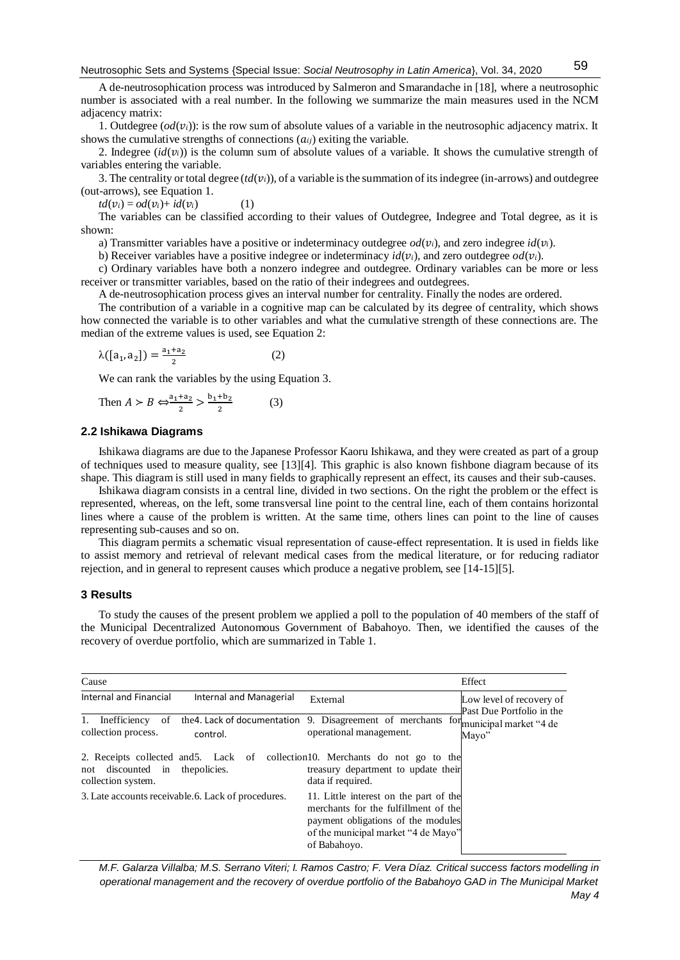A de-neutrosophication process was introduced by Salmeron and Smarandache in [18], where a neutrosophic number is associated with a real number. In the following we summarize the main measures used in the NCM adjacency matrix:

1. Outdegree  $(\text{od}(v_i))$ : is the row sum of absolute values of a variable in the neutrosophic adjacency matrix. It shows the cumulative strengths of connections  $(a_{ij})$  exiting the variable.

2. Indegree  $(id(v_i))$  is the column sum of absolute values of a variable. It shows the cumulative strength of variables entering the variable.

3. The centrality or total degree  $(id(v_i))$ , of a variable is the summation of its indegree (in-arrows) and outdegree (out-arrows), see Equation 1.

 $td(v_i) = od(v_i) + id(v_i)$  (1)

The variables can be classified according to their values of Outdegree, Indegree and Total degree, as it is shown:

a) Transmitter variables have a positive or indeterminacy outdegree  $od(v_i)$ , and zero indegree  $id(v_i)$ .

b) Receiver variables have a positive indegree or indeterminacy  $id(v_i)$ , and zero outdegree  $od(v_i)$ .

c) Ordinary variables have both a nonzero indegree and outdegree. Ordinary variables can be more or less receiver or transmitter variables, based on the ratio of their indegrees and outdegrees.

A de-neutrosophication process gives an interval number for centrality. Finally the nodes are ordered.

The contribution of a variable in a cognitive map can be calculated by its degree of centrality, which shows how connected the variable is to other variables and what the cumulative strength of these connections are. The median of the extreme values is used, see Equation 2:

$$
\lambda([a_1, a_2]) = \frac{a_1 + a_2}{2} \tag{2}
$$

We can rank the variables by the using Equation 3.

Then 
$$
A > B \Leftrightarrow \frac{a_1 + a_2}{2} > \frac{b_1 + b_2}{2}
$$
 (3)

### **2.2 Ishikawa Diagrams**

Ishikawa diagrams are due to the Japanese Professor Kaoru Ishikawa, and they were created as part of a group of techniques used to measure quality, see [13][4]. This graphic is also known fishbone diagram because of its shape. This diagram is still used in many fields to graphically represent an effect, its causes and their sub-causes.

Ishikawa diagram consists in a central line, divided in two sections. On the right the problem or the effect is represented, whereas, on the left, some transversal line point to the central line, each of them contains horizontal lines where a cause of the problem is written. At the same time, others lines can point to the line of causes representing sub-causes and so on.

This diagram permits a schematic visual representation of cause-effect representation. It is used in fields like to assist memory and retrieval of relevant medical cases from the medical literature, or for reducing radiator rejection, and in general to represent causes which produce a negative problem, see [14-15][5].

# **3 Results**

To study the causes of the present problem we applied a poll to the population of 40 members of the staff of the Municipal Decentralized Autonomous Government of Babahoyo. Then, we identified the causes of the recovery of overdue portfolio, which are summarized in Table 1.

| Cause                                        |                                                     |                                                                                                                                                                             | Effect                                                |  |
|----------------------------------------------|-----------------------------------------------------|-----------------------------------------------------------------------------------------------------------------------------------------------------------------------------|-------------------------------------------------------|--|
| Internal and Financial                       | Internal and Managerial                             | External                                                                                                                                                                    | Low level of recovery of<br>Past Due Portfolio in the |  |
| 1.<br>Inefficiency of<br>collection process. | control.                                            | the 4. Lack of documentation 9. Disagreement of merchants for municipal market "4 de<br>operational management.                                                             | Mayo"                                                 |  |
| not discounted in<br>collection system.      | the policies.                                       | 2. Receipts collected and 5. Lack of collection 10. Merchants do not go to the<br>treasury department to update their<br>data if required.                                  |                                                       |  |
|                                              | 3. Late accounts receivable. 6. Lack of procedures. | 11. Little interest on the part of the<br>merchants for the fulfillment of the<br>payment obligations of the modules<br>of the municipal market "4 de Mayo"<br>of Babahovo. |                                                       |  |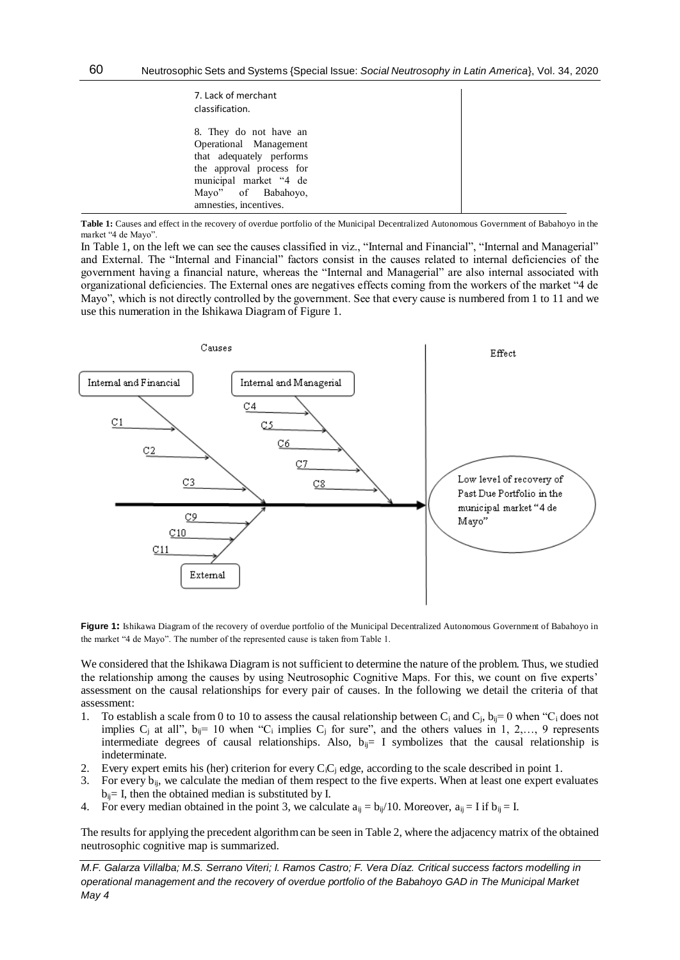| 7. Lack of merchant<br>classification.                                                                                                                                             |  |
|------------------------------------------------------------------------------------------------------------------------------------------------------------------------------------|--|
| 8. They do not have an<br>Operational Management<br>that adequately performs<br>the approval process for<br>municipal market "4 de<br>Mayo" of Babahoyo,<br>amnesties, incentives. |  |

**Table 1:** Causes and effect in the recovery of overdue portfolio of the Municipal Decentralized Autonomous Government of Babahoyo in the market "4 de Mayo".

In Table 1, on the left we can see the causes classified in viz., "Internal and Financial", "Internal and Managerial" and External. The "Internal and Financial" factors consist in the causes related to internal deficiencies of the government having a financial nature, whereas the "Internal and Managerial" are also internal associated with organizational deficiencies. The External ones are negatives effects coming from the workers of the market "4 de Mayo", which is not directly controlled by the government. See that every cause is numbered from 1 to 11 and we use this numeration in the Ishikawa Diagram of Figure 1.



**Figure 1:** Ishikawa Diagram of the recovery of overdue portfolio of the Municipal Decentralized Autonomous Government of Babahoyo in the market "4 de Mayo". The number of the represented cause is taken from Table 1.

We considered that the Ishikawa Diagram is not sufficient to determine the nature of the problem. Thus, we studied the relationship among the causes by using Neutrosophic Cognitive Maps. For this, we count on five experts' assessment on the causal relationships for every pair of causes. In the following we detail the criteria of that assessment:

- 1. To establish a scale from 0 to 10 to assess the causal relationship between C<sub>i</sub> and C<sub>i</sub>, b<sub>ii</sub>= 0 when "C<sub>i</sub> does not implies C<sub>i</sub> at all",  $b_{ij}$ = 10 when "C<sub>i</sub> implies C<sub>i</sub> for sure", and the others values in 1, 2,..., 9 represents intermediate degrees of causal relationships. Also,  $b_{ij}= I$  symbolizes that the causal relationship is indeterminate.
- 2. Every expert emits his (her) criterion for every  $C_iC_i$  edge, according to the scale described in point 1.
- 3. For every  $b_{ij}$ , we calculate the median of them respect to the five experts. When at least one expert evaluates  $b_{ij}$ = I, then the obtained median is substituted by I.
- 4. For every median obtained in the point 3, we calculate  $a_{ij} = b_{ij}/10$ . Moreover,  $a_{ij} = I$  if  $b_{ij} = I$ .

The results for applying the precedent algorithm can be seen in Table 2, where the adjacency matrix of the obtained neutrosophic cognitive map is summarized.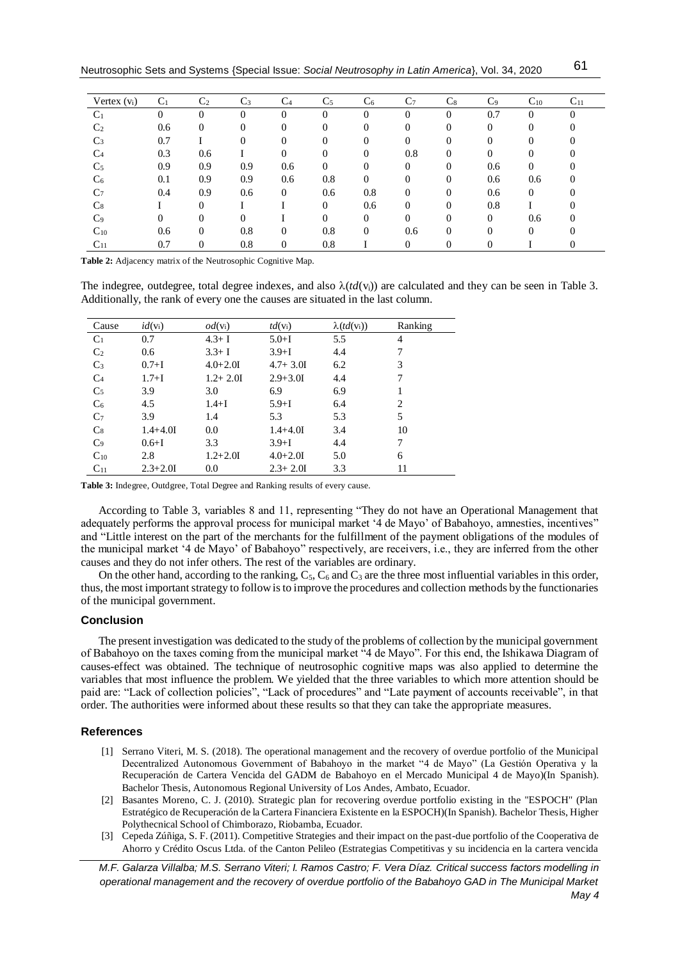| Vertex $(v_i)$ | C <sub>1</sub> | C <sub>2</sub> | $C_3$    | C <sub>4</sub> | C <sub>5</sub> | C <sub>6</sub> | C7       | C8 | C <sub>9</sub> | $C_{10}$ | $C_{11}$ |
|----------------|----------------|----------------|----------|----------------|----------------|----------------|----------|----|----------------|----------|----------|
| C <sub>1</sub> | 0              | $\Omega$       | $\Omega$ | $\Omega$       | $\theta$       | $\theta$       | $\theta$ |    | 0.7            | $\Omega$ |          |
| C <sub>2</sub> | 0.6            | $\Omega$       | $\Omega$ | 0              | 0              | 0              | 0        |    | 0              |          |          |
| $C_3$          | 0.7            |                | $\Omega$ | $\Omega$       | $\theta$       | 0              | 0        |    |                |          |          |
| C <sub>4</sub> | 0.3            | 0.6            |          | 0              | $\theta$       | 0              | 0.8      |    |                | 0        |          |
| C <sub>5</sub> | 0.9            | 0.9            | 0.9      | 0.6            | $\theta$       |                | 0        |    | 0.6            | 0        |          |
| C <sub>6</sub> | 0.1            | 0.9            | 0.9      | 0.6            | 0.8            | 0              | 0        |    | 0.6            | 0.6      |          |
| C <sub>7</sub> | 0.4            | 0.9            | 0.6      | $\Omega$       | 0.6            | 0.8            | 0        | 0  | 0.6            | $\Omega$ |          |
| $C_8$          |                | 0              |          |                | $\Omega$       | 0.6            | 0        | 0  | 0.8            |          |          |
| C <sub>9</sub> | 0              | 0              | $\Omega$ |                | 0              | 0              | 0        |    | $\Omega$       | 0.6      |          |
| $C_{10}$       | 0.6            | $\Omega$       | 0.8      | $\Omega$       | 0.8            | $\theta$       | 0.6      |    |                | 0        |          |
| $C_{11}$       | 0.7            | $\Omega$       | 0.8      | $\theta$       | 0.8            |                | 0        | 0  |                |          |          |

Table 2: Adjacency matrix of the Neutrosophic Cognitive Map.

The indegree, outdegree, total degree indexes, and also  $\lambda (td(v_i))$  are calculated and they can be seen in Table 3. Additionally, the rank of every one the causes are situated in the last column.

| Cause          | $id(v_i)$    | $od(v_i)$    | $td(v_i)$    | $\lambda(td(v_i))$ | Ranking        |
|----------------|--------------|--------------|--------------|--------------------|----------------|
| C <sub>1</sub> | 0.7          | $4.3 + I$    | $5.0 + I$    | 5.5                | 4              |
| C <sub>2</sub> | 0.6          | $3.3 + I$    | $3.9 + I$    | 4.4                | 7              |
| $C_3$          | $0.7 + I$    | $4.0 + 2.01$ | $4.7 + 3.01$ | 6.2                | 3              |
| C <sub>4</sub> | $1.7 + I$    | $1.2 + 2.01$ | $2.9 + 3.01$ | 4.4                | 7              |
| C <sub>5</sub> | 3.9          | 3.0          | 6.9          | 6.9                |                |
| C <sub>6</sub> | 4.5          | $1.4 + I$    | $5.9 + I$    | 6.4                | $\overline{c}$ |
| C <sub>7</sub> | 3.9          | 1.4          | 5.3          | 5.3                | 5              |
| $C_8$          | $1.4 + 4.01$ | 0.0          | $1.4 + 4.01$ | 3.4                | 10             |
| C <sub>9</sub> | $0.6 + I$    | 3.3          | $3.9 + I$    | 4.4                | 7              |
| $C_{10}$       | 2.8          | $1.2 + 2.01$ | $4.0 + 2.01$ | 5.0                | 6              |
| $C_{11}$       | $2.3 + 2.01$ | 0.0          | $2.3 + 2.01$ | 3.3                | 11             |

Table 3: Indegree, Outdgree, Total Degree and Ranking results of every cause.

According to Table 3, variables 8 and 11, representing "They do not have an Operational Management that adequately performs the approval process for municipal market '4 de Mayo' of Babahoyo, amnesties, incentives" and "Little interest on the part of the merchants for the fulfillment of the payment obligations of the modules of the municipal market '4 de Mayo' of Babahoyo'' respectively, are receivers, i.e., they are inferred from the other causes and they do not infer others. The rest of the variables are ordinary.

On the other hand, according to the ranking,  $C_5$ ,  $C_6$  and  $C_3$  are the three most influential variables in this order, thus, the most important strategy to follow is to improve the procedures and collection methods by the functionaries of the municipal government.

#### **Conclusion**

The present investigation was dedicated to the study of the problems of collection by the municipal government of Babahoyo on the taxes coming from the municipal market "4 de Mayo". For this end, the Ishikawa Diagram of causes-effect was obtained. The technique of neutrosophic cognitive maps was also applied to determine the variables that most influence the problem. We yielded that the three variables to which more attention should be paid are: "Lack of collection policies", "Lack of procedures" and "Late payment of accounts receivable", in that order. The authorities were informed about these results so that they can take the appropriate measures.

#### **References**

- [1] Serrano Viteri, M. S. (2018). The operational management and the recovery of overdue portfolio of the Municipal Decentralized Autonomous Government of Babahoyo in the market "4 de Mayo" (La Gestión Operativa y la Recuperación de Cartera Vencida del GADM de Babahoyo en el Mercado Municipal 4 de Mayo)(In Spanish). Bachelor Thesis, Autonomous Regional University of Los Andes, Ambato, Ecuador.
- [2] Basantes Moreno, C. J. (2010). Strategic plan for recovering overdue portfolio existing in the "ESPOCH" (Plan Estratégico de Recuperación de la Cartera Financiera Existente en la ESPOCH)(In Spanish). Bachelor Thesis, Higher Polythecnical School of Chimborazo, Riobamba, Ecuador.
- [3] Cepeda Zúñiga, S. F. (2011). Competitive Strategies and their impact on the past-due portfolio of the Cooperativa de Ahorro y Crédito Oscus Ltda. of the Canton Pelileo (Estrategias Competitivas y su incidencia en la cartera vencida